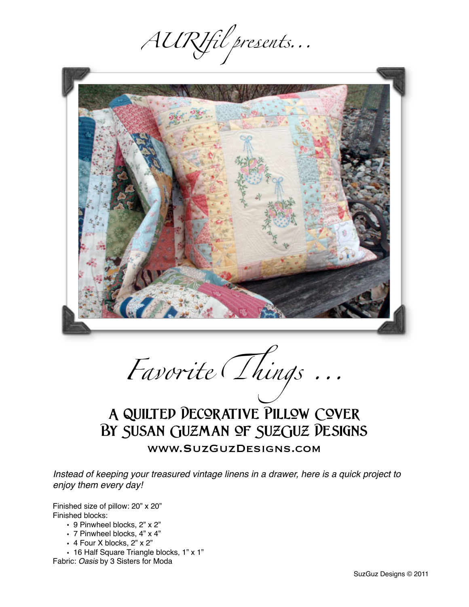AURIfil presents...



Favorite Things...

# **A Quilted Decorative Pillow Cover By Susan Guzman of SuzGuz Designs** www.SuzGuzDesigns.com

*Instead of keeping your treasured vintage linens in a drawer, here is a quick project to enjoy them every day!*

Finished size of pillow: 20" x 20" Finished blocks:

- 9 Pinwheel blocks, 2" x 2"
- 7 Pinwheel blocks, 4" x 4"
- 4 Four X blocks, 2" x 2"
- 16 Half Square Triangle blocks, 1" x 1"

Fabric: *Oasis* by 3 Sisters for Moda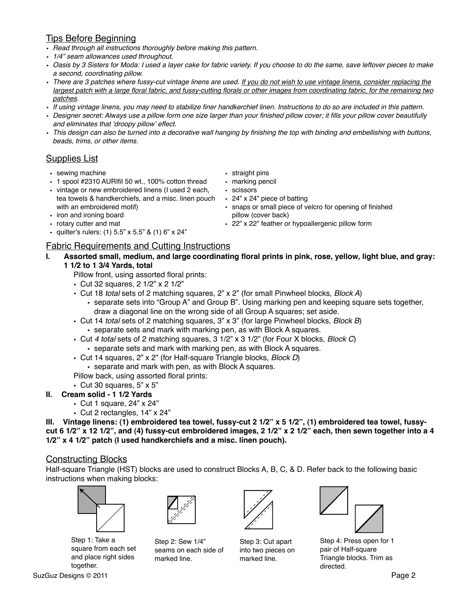# Tips Before Beginning

- *• Read through all instructions thoroughly before making this pattern.*
- *• 1/4" seam allowances used throughout.*
- *• Oasis by 3 Sisters for Moda: I used a layer cake for fabric variety. If you choose to do the same, save leftover pieces to make a second, coordinating pillow.*
- *• There are 3 patches where fussy-cut vintage linens are used. If you do not wish to use vintage linens, consider replacing the largest patch with a large floral fabric, and fussy-cutting florals or other images from coordinating fabric, for the remaining two patches.*
- *• If using vintage linens, you may need to stabilize finer handkerchief linen. Instructions to do so are included in this pattern.*
- *• Designer secret: Always use a pillow form one size larger than your finished pillow cover; it fills your pillow cover beautifully and eliminates that* ʻ*droopy pillow*' *effect.*
- *• This design can also be turned into a decorative wall hanging by finishing the top with binding and embellishing with buttons, beads, trims, or other items.*

## Supplies List

- sewing machine
- 1 spool #2310 AURIfil 50 wt., 100% cotton thread
- vintage or new embroidered linens (I used 2 each, tea towels & handkerchiefs, and a misc. linen pouch with an embroidered motif)
- iron and ironing board
- rotary cutter and mat
- quilter's rulers: (1)  $5.5$ " x  $5.5$ " & (1)  $6$ " x  $24$ "

## Fabric Requirements and Cutting Instructions

- **I. Assorted small, medium, and large coordinating floral prints in pink, rose, yellow, light blue, and gray: 1 1/2 to 1 3/4 Yards, total**
	- Pillow front, using assorted floral prints:
	- Cut 32 squares, 2 1/2" x 2 1/2"
	- Cut 18 *total* sets of 2 matching squares, 2" x 2" (for small Pinwheel blocks, *Block A*)
		- separate sets into "Group A" and Group B". Using marking pen and keeping square sets together, draw a diagonal line on the wrong side of all Group A squares; set aside.
	- Cut 14 *total* sets of 2 matching squares, 3" x 3" (for large Pinwheel blocks, *Block B*)
		- separate sets and mark with marking pen, as with Block A squares.
	- Cut *4 total* sets of 2 matching squares, 3 1/2" x 3 1/2" (for Four X blocks, *Block C*)
		- separate sets and mark with marking pen, as with Block A squares.
	- Cut 14 squares, 2" x 2" (for Half-square Triangle blocks, *Block D*)

• separate and mark with pen, as with Block A squares.

- Pillow back, using assorted floral prints:
- Cut 30 squares, 5" x 5"
- **II. Cream solid 1 1/2 Yards**
	- Cut 1 square, 24" x 24"
	- Cut 2 rectangles, 14" x 24"

**III. Vintage linens: (1) embroidered tea towel, fussy-cut 2 1/2" x 5 1/2", (1) embroidered tea towel, fussycut 6 1/2" x 12 1/2", and (4) fussy-cut embroidered images, 2 1/2" x 2 1/2" each, then sewn together into a 4 1/2" x 4 1/2" patch (I used handkerchiefs and a misc. linen pouch).**

#### Constructing Blocks

Half-square Triangle (HST) blocks are used to construct Blocks A, B, C, & D. Refer back to the following basic instructions when making blocks:



Step 1: Take a square from each set and place right sides together.



Step 2: Sew 1/4" seams on each side of marked line.



Step 3: Cut apart into two pieces on marked line.



Step 4: Press open for 1 pair of Half-square Triangle blocks. Trim as directed.

- straight pins
- marking pencil
- scissors
- 24" x 24" piece of batting
- snaps or small piece of velcro for opening of finished pillow (cover back)
- 22" x 22" feather or hypoallergenic pillow form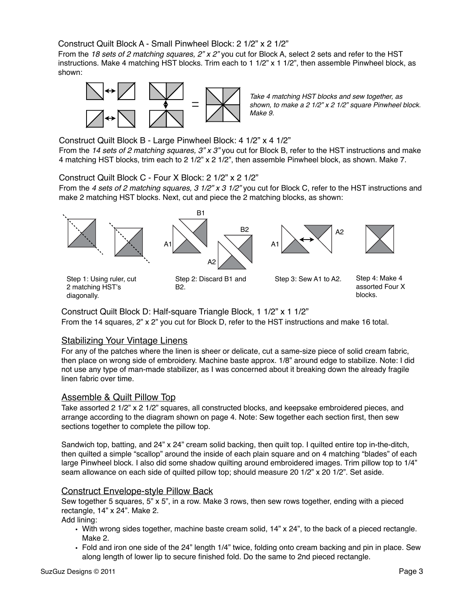#### Construct Quilt Block A - Small Pinwheel Block: 2 1/2" x 2 1/2"

From the *18 sets of 2 matching squares, 2" x 2"* you cut for Block A, select 2 sets and refer to the HST instructions. Make 4 matching HST blocks. Trim each to 1 1/2" x 1 1/2", then assemble Pinwheel block, as shown:



*Take 4 matching HST blocks and sew together, as shown, to make a 2 1/2" x 2 1/2" square Pinwheel block. Make 9.*

Construct Quilt Block B - Large Pinwheel Block: 4 1/2" x 4 1/2"

From the *14 sets of 2 matching squares, 3" x 3"* you cut for Block B, refer to the HST instructions and make 4 matching HST blocks, trim each to 2 1/2" x 2 1/2", then assemble Pinwheel block, as shown. Make 7.

Construct Quilt Block C - Four X Block: 2 1/2" x 2 1/2"

From the *4 sets of 2 matching squares, 3 1/2" x 3 1/2"* you cut for Block C, refer to the HST instructions and make 2 matching HST blocks. Next, cut and piece the 2 matching blocks, as shown:



Construct Quilt Block D: Half-square Triangle Block, 1 1/2" x 1 1/2" From the 14 squares, 2" x 2" you cut for Block D, refer to the HST instructions and make 16 total.

#### Stabilizing Your Vintage Linens

For any of the patches where the linen is sheer or delicate, cut a same-size piece of solid cream fabric, then place on wrong side of embroidery. Machine baste approx. 1/8" around edge to stabilize. Note: I did not use any type of man-made stabilizer, as I was concerned about it breaking down the already fragile linen fabric over time.

#### Assemble & Quilt Pillow Top

Take assorted 2 1/2" x 2 1/2" squares, all constructed blocks, and keepsake embroidered pieces, and arrange according to the diagram shown on page 4. Note: Sew together each section first, then sew sections together to complete the pillow top.

Sandwich top, batting, and 24" x 24" cream solid backing, then quilt top. I quilted entire top in-the-ditch, then quilted a simple "scallop" around the inside of each plain square and on 4 matching "blades" of each large Pinwheel block. I also did some shadow quilting around embroidered images. Trim pillow top to 1/4" seam allowance on each side of quilted pillow top; should measure 20 1/2" x 20 1/2". Set aside.

## Construct Envelope-style Pillow Back

Sew together 5 squares, 5" x 5", in a row. Make 3 rows, then sew rows together, ending with a pieced rectangle, 14" x 24". Make 2.

Add lining:

- With wrong sides together, machine baste cream solid, 14" x 24", to the back of a pieced rectangle. Make 2.
- Fold and iron one side of the 24" length 1/4" twice, folding onto cream backing and pin in place. Sew along length of lower lip to secure finished fold. Do the same to 2nd pieced rectangle.